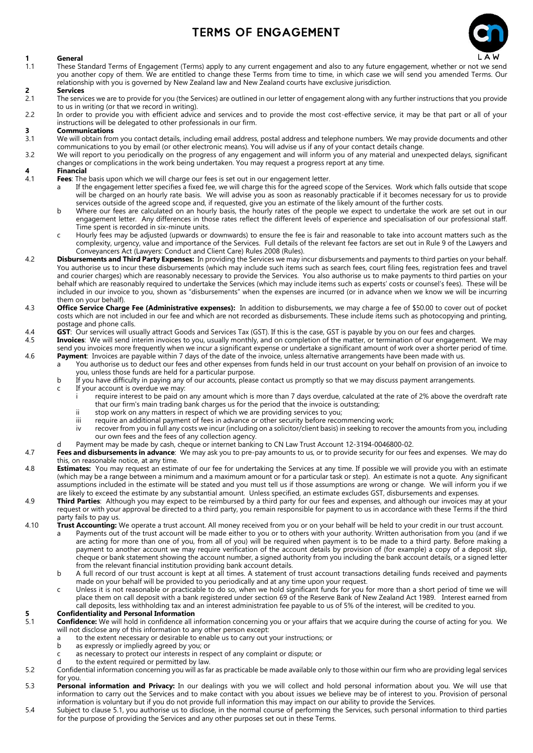## **TERMS OF ENGAGEMENT**



## **1 General**<br>11 **These St**

These Standard Terms of Engagement (Terms) apply to any current engagement and also to any future engagement, whether or not we send you another copy of them. We are entitled to change these Terms from time to time, in which case we will send you amended Terms. Our relationship with you is governed by New Zealand law and New Zealand courts have exclusive jurisdiction.

## **2 Services**

- The services we are to provide for you (the Services) are outlined in our letter of engagement along with any further instructions that you provide to us in writing (or that we record in writing).
- 2.2 In order to provide you with efficient advice and services and to provide the most cost-effective service, it may be that part or all of your instructions will be delegated to other professionals in our firm.

### **3 Communications**

- 3.1 We will obtain from you contact details, including email address, postal address and telephone numbers. We may provide documents and other communications to you by email (or other electronic means). You will advise us if any of your contact details change.
- 3.2 We will report to you periodically on the progress of any engagement and will inform you of any material and unexpected delays, significant changes or complications in the work being undertaken. You may request a progress report at any time.

### **4 Financial**

- 4.1 **Fees**: The basis upon which we will charge our fees is set out in our engagement letter.
	- If the engagement letter specifies a fixed fee, we will charge this for the agreed scope of the Services. Work which falls outside that scope will be charged on an hourly rate basis. We will advise you as soon as reasonably practicable if it becomes necessary for us to provide services outside of the agreed scope and, if requested, give you an estimate of the likely amount of the further costs.
	- b Where our fees are calculated on an hourly basis, the hourly rates of the people we expect to undertake the work are set out in our engagement letter. Any differences in those rates reflect the different levels of experience and specialisation of our professional staff. Time spent is recorded in six-minute units.
	- c Hourly fees may be adjusted (upwards or downwards) to ensure the fee is fair and reasonable to take into account matters such as the complexity, urgency, value and importance of the Services. Full details of the relevant fee factors are set out in Rule 9 of the Lawyers and Conveyancers Act (Lawyers: Conduct and Client Care) Rules 2008 (Rules).
- 4.2 **Disbursements and Third Party Expenses:** In providing the Services we may incur disbursements and payments to third parties on your behalf. You authorise us to incur these disbursements (which may include such items such as search fees, court filing fees, registration fees and travel and courier charges) which are reasonably necessary to provide the Services. You also authorise us to make payments to third parties on your behalf which are reasonably required to undertake the Services (which may include items such as experts' costs or counsel's fees). These will be included in our invoice to you, shown as "disbursements" when the expenses are incurred (or in advance when we know we will be incurring them on your behalf).
- 4.3 **Office Service Charge Fee (Administrative expenses):** In addition to disbursements, we may charge a fee of \$50.00 to cover out of pocket costs which are not included in our fee and which are not recorded as disbursements. These include items such as photocopying and printing, postage and phone calls.
- 4.4 **GST**: Our services will usually attract Goods and Services Tax (GST). If this is the case, GST is payable by you on our fees and charges.
- 4.5 **Invoices**: We will send interim invoices to you, usually monthly, and on completion of the matter, or termination of our engagement. We may send you invoices more frequently when we incur a significant expense or undertake a significant amount of work over a shorter period of time. 4.6 **Payment**: Invoices are payable within 7 days of the date of the invoice, unless alternative arrangements have been made with us.
	- a You authorise us to deduct our fees and other expenses from funds held in our trust account on your behalf on provision of an invoice to you, unless those funds are held for a particular purpose.
		- b If you have difficulty in paying any of our accounts, please contact us promptly so that we may discuss payment arrangements.
		- If your account is overdue we may:
			- require interest to be paid on any amount which is more than 7 days overdue, calculated at the rate of 2% above the overdraft rate that our firm's main trading bank charges us for the period that the invoice is outstanding;
			- ii stop work on any matters in respect of which we are providing services to you;
			- iii require an additional payment of fees in advance or other security before recommencing work;
			- iv recover from you in full any costs we incur (including on a solicitor/client basis) in seeking to recover the amounts from you, including our own fees and the fees of any collection agency.
		- d Payment may be made by cash, cheque or internet banking to CN Law Trust Account 12-3194-0046800-02.
- 4.7 **Fees and disbursements in advance**: We may ask you to pre-pay amounts to us, or to provide security for our fees and expenses. We may do this, on reasonable notice, at any time.
- 4.8 **Estimates:** You may request an estimate of our fee for undertaking the Services at any time. If possible we will provide you with an estimate (which may be a range between a minimum and a maximum amount or for a particular task or step). An estimate is not a quote. Any significant assumptions included in the estimate will be stated and you must tell us if those assumptions are wrong or change. We will inform you if we are likely to exceed the estimate by any substantial amount. Unless specified, an estimate excludes GST, disbursements and expenses.
- 4.9 **Third Parties**: Although you may expect to be reimbursed by a third party for our fees and expenses, and although our invoices may at your request or with your approval be directed to a third party, you remain responsible for payment to us in accordance with these Terms if the third party fails to pay us.
- 4.10 **Trust Accounting:** We operate a trust account. All money received from you or on your behalf will be held to your credit in our trust account.
	- a Payments out of the trust account will be made either to you or to others with your authority. Written authorisation from you (and if we are acting for more than one of you, from all of you) will be required when payment is to be made to a third party. Before making a payment to another account we may require verification of the account details by provision of (for example) a copy of a deposit slip, cheque or bank statement showing the account number, a signed authority from you including the bank account details, or a signed letter from the relevant financial institution providing bank account details.
	- b A full record of our trust account is kept at all times. A statement of trust account transactions detailing funds received and payments made on your behalf will be provided to you periodically and at any time upon your request.
	- c Unless it is not reasonable or practicable to do so, when we hold significant funds for you for more than a short period of time we will place them on call deposit with a bank registered under section 69 of the Reserve Bank of New Zealand Act 1989. Interest earned from call deposits, less withholding tax and an interest administration fee payable to us of 5% of the interest, will be credited to you.

# **5 Confidentiality and Personal Information**

- 5.1 **Confidence:** We will hold in confidence all information concerning you or your affairs that we acquire during the course of acting for you. We will not disclose any of this information to any other person except:
	- a to the extent necessary or desirable to enable us to carry out your instructions; or
	- b as expressly or impliedly agreed by you; or
	- as necessary to protect our interests in respect of any complaint or dispute; or
	- d to the extent required or permitted by law.
- 5.2 Confidential information concerning you will as far as practicable be made available only to those within our firm who are providing legal services for you.
- 5.3 **Personal information and Privacy:** In our dealings with you we will collect and hold personal information about you. We will use that information to carry out the Services and to make contact with you about issues we believe may be of interest to you. Provision of personal information is voluntary but if you do not provide full information this may impact on our ability to provide the Services.
- 5.4 Subject to clause 5.1, you authorise us to disclose, in the normal course of performing the Services, such personal information to third parties for the purpose of providing the Services and any other purposes set out in these Terms.